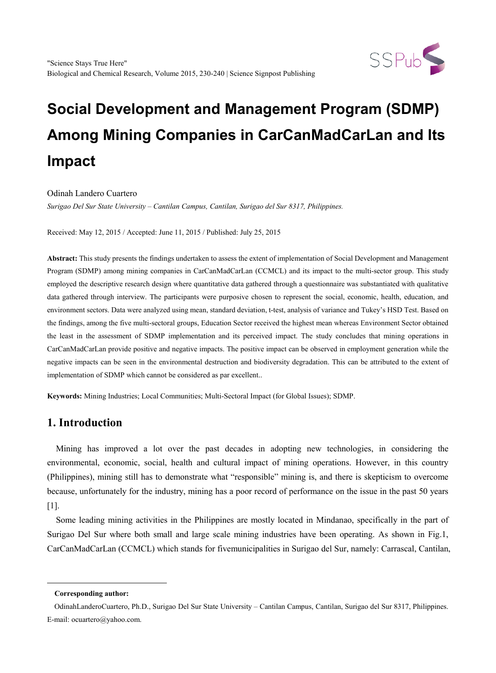

# **Social Development and Management Program (SDMP) Among Mining Companies in CarCanMadCarLan and Its Impact**

Odinah Landero Cuartero

*Surigao Del Sur State University – Cantilan Campus, Cantilan, Surigao del Sur 8317, Philippines.*

Received: May 12, 2015 / Accepted: June 11, 2015 / Published: July 25, 2015

**Abstract:** This study presents the findings undertaken to assess the extent of implementation of Social Development and Management Program (SDMP) among mining companies in CarCanMadCarLan (CCMCL) and its impact to the multi-sector group. This study employed the descriptive research design where quantitative data gathered through a questionnaire was substantiated with qualitative data gathered through interview. The participants were purposive chosen to represent the social, economic, health, education, and environment sectors. Data were analyzed using mean, standard deviation, t-test, analysis of variance and Tukey's HSD Test. Based on the findings, among the five multi-sectoral groups, Education Sector received the highest mean whereas Environment Sector obtained the least in the assessment of SDMP implementation and its perceived impact. The study concludes that mining operations in CarCanMadCarLan provide positive and negative impacts. The positive impact can be observed in employment generation while the negative impacts can be seen in the environmental destruction and biodiversity degradation. This can be attributed to the extent of implementation of SDMP which cannot be considered as par excellent..

**Keywords:** Mining Industries; Local Communities; Multi-Sectoral Impact (for Global Issues); SDMP.

## **1. Introduction**

Mining has improved a lot over the past decades in adopting new technologies, in considering the environmental, economic, social, health and cultural impact of mining operations. However, in this country (Philippines), mining still has to demonstrate what "responsible" mining is, and there is skepticism to overcome because, unfortunately for the industry, mining has a poor record of performance on the issue in the past 50 years [1].

Some leading mining activities in the Philippines are mostly located in Mindanao, specifically in the part of Surigao Del Sur where both small and large scale mining industries have been operating. As shown in Fig.1, CarCanMadCarLan (CCMCL) which stands for fivemunicipalities in Surigao del Sur, namely: Carrascal, Cantilan,

<span id="page-0-0"></span>-

**Corresponding author:**

OdinahLanderoCuartero, Ph.D., Surigao Del Sur State University – Cantilan Campus, Cantilan, Surigao del Sur 8317, Philippines. E-mail: ocuartero@yahoo.com.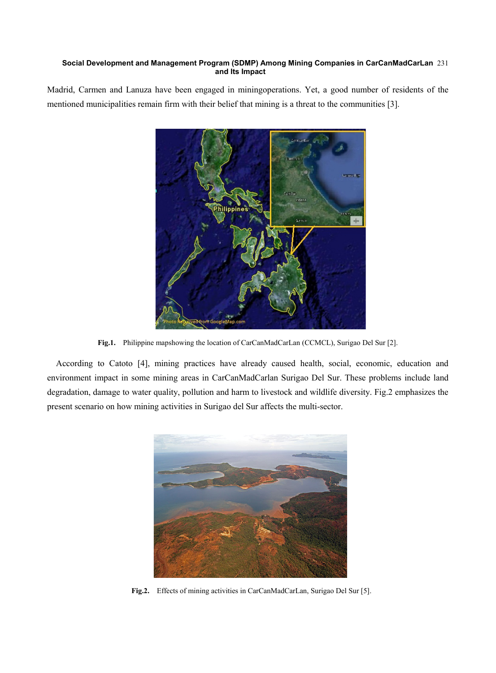#### **Social Development and Management Program (SDMP) Among Mining Companies in CarCanMadCarLan**  231 **and Its Impact**

Madrid, Carmen and Lanuza have been engaged in miningoperations. Yet, a good number of residents of the mentioned municipalities remain firm with their belief that mining is a threat to the communities [3].



**Fig.1.** Philippine mapshowing the location of CarCanMadCarLan (CCMCL), Surigao Del Sur [2].

According to Catoto [4], mining practices have already caused health, social, economic, education and environment impact in some mining areas in CarCanMadCarlan Surigao Del Sur. These problems include land degradation, damage to water quality, pollution and harm to livestock and wildlife diversity. Fig.2 emphasizes the present scenario on how mining activities in Surigao del Sur affects the multi-sector.



**Fig.2.** Effects of mining activities in CarCanMadCarLan, Surigao Del Sur [5].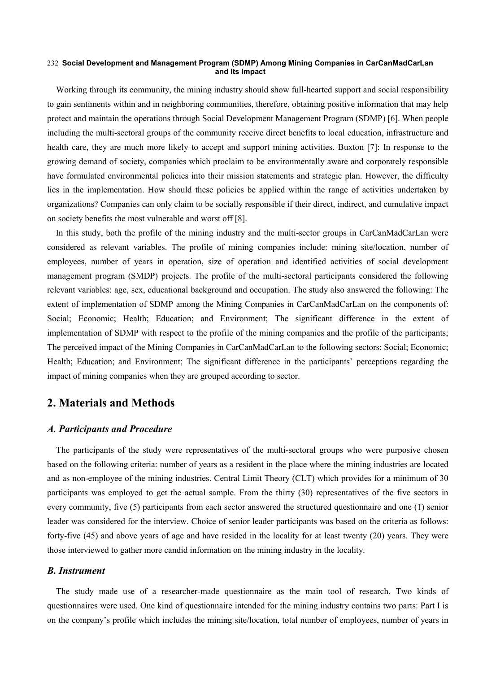#### **Social Development and Management Program (SDMP) Among Mining Companies in CarCanMadCarLan**  232 **and Its Impact**

Working through its community, the mining industry should show full-hearted support and social responsibility to gain sentiments within and in neighboring communities, therefore, obtaining positive information that may help protect and maintain the operations through Social Development Management Program (SDMP) [6]. When people including the multi-sectoral groups of the community receive direct benefits to local education, infrastructure and health care, they are much more likely to accept and support mining activities. Buxton [7]: In response to the growing demand of society, companies which proclaim to be environmentally aware and corporately responsible have formulated environmental policies into their mission statements and strategic plan. However, the difficulty lies in the implementation. How should these policies be applied within the range of activities undertaken by organizations? Companies can only claim to be socially responsible if their direct, indirect, and cumulative impact on society benefits the most vulnerable and worst off [8].

In this study, both the profile of the mining industry and the multi-sector groups in CarCanMadCarLan were considered as relevant variables. The profile of mining companies include: mining site/location, number of employees, number of years in operation, size of operation and identified activities of social development management program (SMDP) projects. The profile of the multi-sectoral participants considered the following relevant variables: age, sex, educational background and occupation. The study also answered the following: The extent of implementation of SDMP among the Mining Companies in CarCanMadCarLan on the components of: Social; Economic; Health; Education; and Environment; The significant difference in the extent of implementation of SDMP with respect to the profile of the mining companies and the profile of the participants; The perceived impact of the Mining Companies in CarCanMadCarLan to the following sectors: Social; Economic; Health; Education; and Environment; The significant difference in the participants' perceptions regarding the impact of mining companies when they are grouped according to sector.

## **2. Materials and Methods**

#### *A. Participants and Procedure*

The participants of the study were representatives of the multi-sectoral groups who were purposive chosen based on the following criteria: number of years as a resident in the place where the mining industries are located and as non-employee of the mining industries. Central Limit Theory (CLT) which provides for a minimum of 30 participants was employed to get the actual sample. From the thirty (30) representatives of the five sectors in every community, five (5) participants from each sector answered the structured questionnaire and one (1) senior leader was considered for the interview. Choice of senior leader participants was based on the criteria as follows: forty-five (45) and above years of age and have resided in the locality for at least twenty (20) years. They were those interviewed to gather more candid information on the mining industry in the locality.

#### *B. Instrument*

The study made use of a researcher-made questionnaire as the main tool of research. Two kinds of questionnaires were used. One kind of questionnaire intended for the mining industry contains two parts: Part I is on the company's profile which includes the mining site/location, total number of employees, number of years in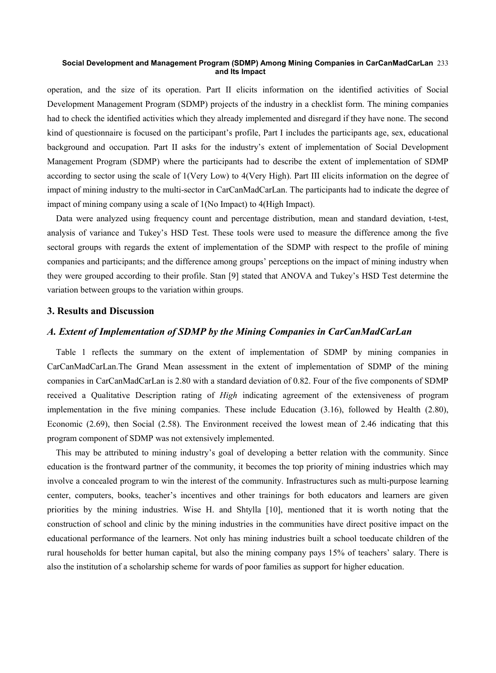#### **Social Development and Management Program (SDMP) Among Mining Companies in CarCanMadCarLan**  233 **and Its Impact**

operation, and the size of its operation. Part II elicits information on the identified activities of Social Development Management Program (SDMP) projects of the industry in a checklist form. The mining companies had to check the identified activities which they already implemented and disregard if they have none. The second kind of questionnaire is focused on the participant's profile, Part I includes the participants age, sex, educational background and occupation. Part II asks for the industry's extent of implementation of Social Development Management Program (SDMP) where the participants had to describe the extent of implementation of SDMP according to sector using the scale of 1(Very Low) to 4(Very High). Part III elicits information on the degree of impact of mining industry to the multi-sector in CarCanMadCarLan. The participants had to indicate the degree of impact of mining company using a scale of 1(No Impact) to 4(High Impact).

Data were analyzed using frequency count and percentage distribution, mean and standard deviation, t-test, analysis of variance and Tukey's HSD Test. These tools were used to measure the difference among the five sectoral groups with regards the extent of implementation of the SDMP with respect to the profile of mining companies and participants; and the difference among groups' perceptions on the impact of mining industry when they were grouped according to their profile. Stan [9] stated that ANOVA and Tukey's HSD Test determine the variation between groups to the variation within groups.

#### **3. Results and Discussion**

#### *A. Extent of Implementation of SDMP by the Mining Companies in CarCanMadCarLan*

Table 1 reflects the summary on the extent of implementation of SDMP by mining companies in CarCanMadCarLan.The Grand Mean assessment in the extent of implementation of SDMP of the mining companies in CarCanMadCarLan is 2.80 with a standard deviation of 0.82. Four of the five components of SDMP received a Qualitative Description rating of *High* indicating agreement of the extensiveness of program implementation in the five mining companies. These include Education (3.16), followed by Health (2.80), Economic (2.69), then Social (2.58). The Environment received the lowest mean of 2.46 indicating that this program component of SDMP was not extensively implemented.

This may be attributed to mining industry's goal of developing a better relation with the community. Since education is the frontward partner of the community, it becomes the top priority of mining industries which may involve a concealed program to win the interest of the community. Infrastructures such as multi-purpose learning center, computers, books, teacher's incentives and other trainings for both educators and learners are given priorities by the mining industries. Wise H. and Shtylla [10], mentioned that it is worth noting that the construction of school and clinic by the mining industries in the communities have direct positive impact on the educational performance of the learners. Not only has mining industries built a school toeducate children of the rural households for better human capital, but also the mining company pays 15% of teachers' salary. There is also the institution of a scholarship scheme for wards of poor families as support for higher education.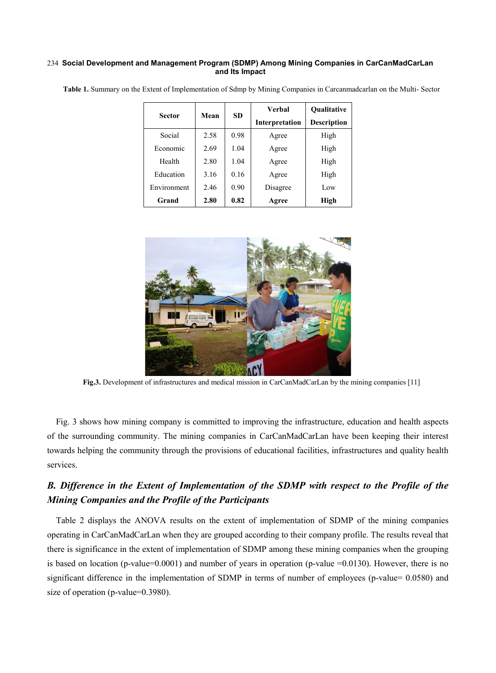#### **Social Development and Management Program (SDMP) Among Mining Companies in CarCanMadCarLan**  234 **and Its Impact**

|               | Mean |           | Verbal         | <b>Oualitative</b> |  |
|---------------|------|-----------|----------------|--------------------|--|
| <b>Sector</b> |      | <b>SD</b> | Interpretation | <b>Description</b> |  |
| Social        | 2.58 | 0.98      | Agree          | High               |  |
| Economic      | 2.69 | 1.04      | Agree          | High               |  |
| Health        | 2.80 | 1.04      | Agree          | High               |  |
| Education     | 3.16 | 0.16      | Agree          | High               |  |
| Environment   | 2.46 | 0.90      | Disagree       | Low                |  |
| Grand         | 2.80 | 0.82      | Agree          | High               |  |

**Table 1.** Summary on the Extent of Implementation of Sdmp by Mining Companies in Carcanmadcarlan on the Multi- Sector



**Fig.3.** Development of infrastructures and medical mission in CarCanMadCarLan by the mining companies [11]

Fig. 3 shows how mining company is committed to improving the infrastructure, education and health aspects of the surrounding community. The mining companies in CarCanMadCarLan have been keeping their interest towards helping the community through the provisions of educational facilities, infrastructures and quality health services.

# *B. Difference in the Extent of Implementation of the SDMP with respect to the Profile of the Mining Companies and the Profile of the Participants*

Table 2 displays the ANOVA results on the extent of implementation of SDMP of the mining companies operating in CarCanMadCarLan when they are grouped according to their company profile. The results reveal that there is significance in the extent of implementation of SDMP among these mining companies when the grouping is based on location (p-value=0.0001) and number of years in operation (p-value =0.0130). However, there is no significant difference in the implementation of SDMP in terms of number of employees (p-value= 0.0580) and size of operation (p-value=0.3980).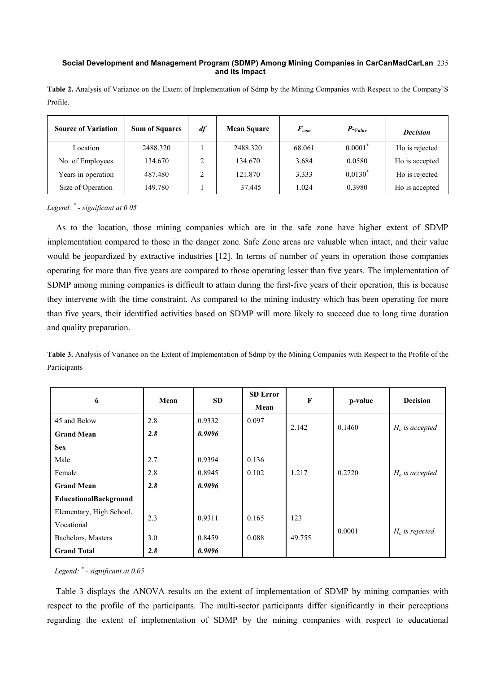#### **Social Development and Management Program (SDMP) Among Mining Companies in CarCanMadCarLan**  235 **and Its Impact**

**Table 2.** Analysis of Variance on the Extent of Implementation of Sdmp by the Mining Companies with Respect to the Company'S Profile.

| <b>Source of Variation</b> | <b>Sum of Squares</b> | df<br><b>Mean Square</b> |          | $\bm{F}_{com}$ | $P$ - <sub>Value</sub> | <b>Decision</b> |
|----------------------------|-----------------------|--------------------------|----------|----------------|------------------------|-----------------|
| Location                   | 2488.320              |                          | 2488.320 | 68.061         | $0.0001$ <sup>*</sup>  | Ho is rejected  |
| No. of Employees           | 134.670               |                          | 134.670  | 3.684          | 0.0580                 | Ho is accepted  |
| Years in operation         | 487.480               |                          | 121.870  | 3.333          | $0.0130^*$             | Ho is rejected  |
| Size of Operation          | 149.780               |                          | 37.445   | 1.024          | 0.3980                 | Ho is accepted  |

#### *Legend: \* - significant at 0.05*

As to the location, those mining companies which are in the safe zone have higher extent of SDMP implementation compared to those in the danger zone. Safe Zone areas are valuable when intact, and their value would be jeopardized by extractive industries [12]. In terms of number of years in operation those companies operating for more than five years are compared to those operating lesser than five years. The implementation of SDMP among mining companies is difficult to attain during the first-five years of their operation, this is because they intervene with the time constraint. As compared to the mining industry which has been operating for more than five years, their identified activities based on SDMP will more likely to succeed due to long time duration and quality preparation.

**Table 3.** Analysis of Variance on the Extent of Implementation of Sdmp by the Mining Companies with Respect to the Profile of the Participants

| 6                        | Mean | <b>SD</b> | <b>SD</b> Error<br>Mean | $\mathbf{F}$ | p-value | <b>Decision</b>  |
|--------------------------|------|-----------|-------------------------|--------------|---------|------------------|
| 45 and Below             | 2.8  | 0.9332    | 0.097                   |              |         |                  |
| <b>Grand Mean</b>        | 2.8  | 0.9096    |                         | 2.142        | 0.1460  | $Ho$ is accepted |
| <b>Sex</b>               |      |           |                         |              |         |                  |
| Male                     | 2.7  | 0.9394    | 0.136                   |              |         |                  |
| Female                   | 2.8  | 0.8945    | 0.102                   | 1.217        | 0.2720  | $Ho$ is accepted |
| <b>Grand Mean</b>        | 2.8  | 0.9096    |                         |              |         |                  |
| EducationalBackground    |      |           |                         |              |         |                  |
| Elementary, High School, | 2.3  | 0.9311    | 0.165                   | 123          |         |                  |
| Vocational               |      |           |                         |              | 0.0001  |                  |
| Bachelors, Masters       | 3.0  | 0.8459    | 0.088                   | 49.755       |         | $Ho$ is rejected |
| <b>Grand Total</b>       | 2.8  | 0.9096    |                         |              |         |                  |

#### *Legend: \* - significant at 0.05*

Table 3 displays the ANOVA results on the extent of implementation of SDMP by mining companies with respect to the profile of the participants. The multi-sector participants differ significantly in their perceptions regarding the extent of implementation of SDMP by the mining companies with respect to educational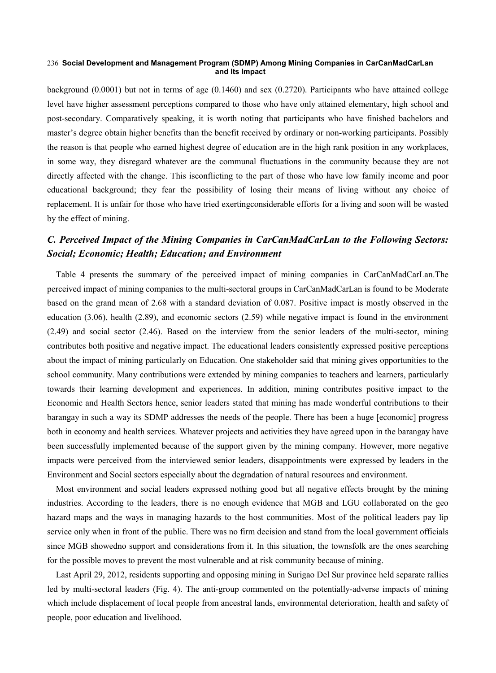#### **Social Development and Management Program (SDMP) Among Mining Companies in CarCanMadCarLan**  236 **and Its Impact**

background (0.0001) but not in terms of age (0.1460) and sex (0.2720). Participants who have attained college level have higher assessment perceptions compared to those who have only attained elementary, high school and post-secondary. Comparatively speaking, it is worth noting that participants who have finished bachelors and master's degree obtain higher benefits than the benefit received by ordinary or non-working participants. Possibly the reason is that people who earned highest degree of education are in the high rank position in any workplaces, in some way, they disregard whatever are the communal fluctuations in the community because they are not directly affected with the change. This isconflicting to the part of those who have low family income and poor educational background; they fear the possibility of losing their means of living without any choice of replacement. It is unfair for those who have tried exertingconsiderable efforts for a living and soon will be wasted by the effect of mining.

## *C. Perceived Impact of the Mining Companies in CarCanMadCarLan to the Following Sectors: Social; Economic; Health; Education; and Environment*

Table 4 presents the summary of the perceived impact of mining companies in CarCanMadCarLan.The perceived impact of mining companies to the multi-sectoral groups in CarCanMadCarLan is found to be Moderate based on the grand mean of 2.68 with a standard deviation of 0.087. Positive impact is mostly observed in the education (3.06), health (2.89), and economic sectors (2.59) while negative impact is found in the environment (2.49) and social sector (2.46). Based on the interview from the senior leaders of the multi-sector, mining contributes both positive and negative impact. The educational leaders consistently expressed positive perceptions about the impact of mining particularly on Education. One stakeholder said that mining gives opportunities to the school community. Many contributions were extended by mining companies to teachers and learners, particularly towards their learning development and experiences. In addition, mining contributes positive impact to the Economic and Health Sectors hence, senior leaders stated that mining has made wonderful contributions to their barangay in such a way its SDMP addresses the needs of the people. There has been a huge [economic] progress both in economy and health services. Whatever projects and activities they have agreed upon in the barangay have been successfully implemented because of the support given by the mining company. However, more negative impacts were perceived from the interviewed senior leaders, disappointments were expressed by leaders in the Environment and Social sectors especially about the degradation of natural resources and environment.

Most environment and social leaders expressed nothing good but all negative effects brought by the mining industries. According to the leaders, there is no enough evidence that MGB and LGU collaborated on the geo hazard maps and the ways in managing hazards to the host communities. Most of the political leaders pay lip service only when in front of the public. There was no firm decision and stand from the local government officials since MGB showedno support and considerations from it. In this situation, the townsfolk are the ones searching for the possible moves to prevent the most vulnerable and at risk community because of mining.

Last April 29, 2012, residents supporting and opposing mining in Surigao Del Sur province held separate rallies led by multi-sectoral leaders (Fig. 4). The anti-group commented on the potentially-adverse impacts of mining which include displacement of local people from ancestral lands, environmental deterioration, health and safety of people, poor education and livelihood.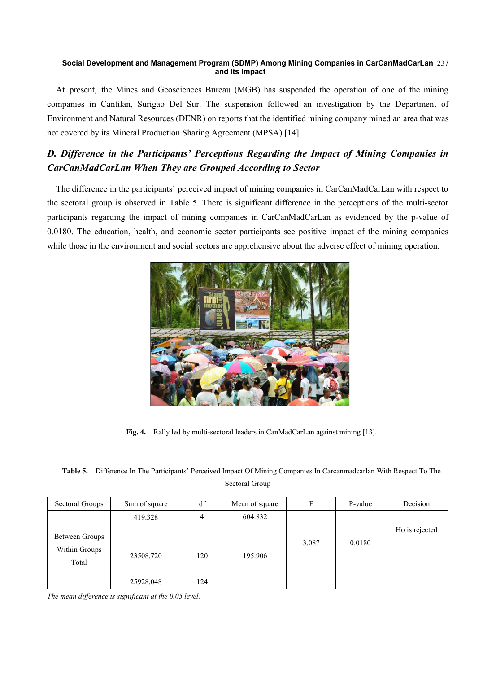#### **Social Development and Management Program (SDMP) Among Mining Companies in CarCanMadCarLan**  237 **and Its Impact**

At present, the Mines and Geosciences Bureau (MGB) has suspended the operation of one of the mining companies in Cantilan, Surigao Del Sur. The suspension followed an investigation by the Department of Environment and Natural Resources (DENR) on reports that the identified mining company mined an area that was not covered by its Mineral Production Sharing Agreement (MPSA) [14].

# *D. Difference in the Participants' Perceptions Regarding the Impact of Mining Companies in CarCanMadCarLan When They are Grouped According to Sector*

The difference in the participants' perceived impact of mining companies in CarCanMadCarLan with respect to the sectoral group is observed in Table 5. There is significant difference in the perceptions of the multi-sector participants regarding the impact of mining companies in CarCanMadCarLan as evidenced by the p-value of 0.0180. The education, health, and economic sector participants see positive impact of the mining companies while those in the environment and social sectors are apprehensive about the adverse effect of mining operation.



**Fig. 4.** Rally led by multi-sectoral leaders in CanMadCarLan against mining [13].

**Table 5.** Difference In The Participants' Perceived Impact Of Mining Companies In Carcanmadcarlan With Respect To The Sectoral Group

| Sectoral Groups                          | Sum of square | df  | Mean of square | F     | P-value | Decision       |
|------------------------------------------|---------------|-----|----------------|-------|---------|----------------|
|                                          | 419.328       | 4   | 604.832        |       |         |                |
| Between Groups<br>Within Groups<br>Total | 23508.720     | 120 | 195.906        | 3.087 | 0.0180  | Ho is rejected |
|                                          | 25928.048     | 124 |                |       |         |                |

*The mean difference is significant at the 0.05 level.*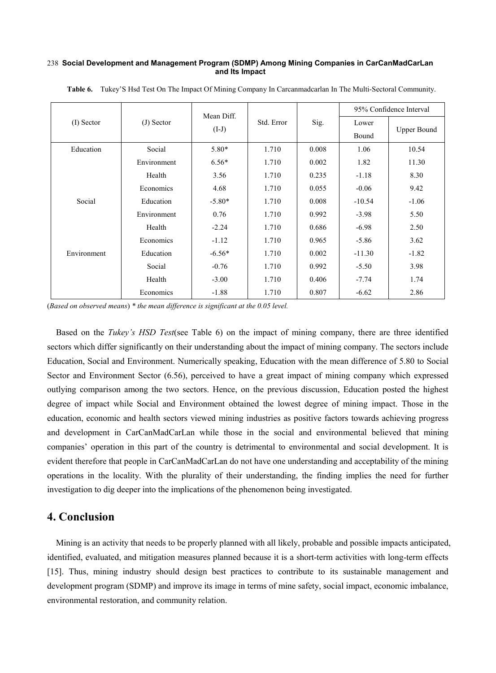#### **Social Development and Management Program (SDMP) Among Mining Companies in CarCanMadCarLan**  238 **and Its Impact**

|              |             | Mean Diff. |            |       | 95% Confidence Interval |                    |
|--------------|-------------|------------|------------|-------|-------------------------|--------------------|
| $(I)$ Sector | (J) Sector  | $(I-J)$    | Std. Error | Sig.  | Lower<br>Bound          | <b>Upper Bound</b> |
|              |             |            |            |       |                         |                    |
| Education    | Social      | $5.80*$    | 1.710      | 0.008 | 1.06                    | 10.54              |
|              | Environment | $6.56*$    | 1.710      | 0.002 | 1.82                    | 11.30              |
|              | Health      | 3.56       | 1.710      | 0.235 | $-1.18$                 | 8.30               |
|              | Economics   | 4.68       | 1.710      | 0.055 | $-0.06$                 | 9.42               |
| Social       | Education   | $-5.80*$   | 1.710      | 0.008 | $-10.54$                | $-1.06$            |
|              | Environment | 0.76       | 1.710      | 0.992 | $-3.98$                 | 5.50               |
|              | Health      | $-2.24$    | 1.710      | 0.686 | $-6.98$                 | 2.50               |
|              | Economics   | $-1.12$    | 1.710      | 0.965 | $-5.86$                 | 3.62               |
| Environment  | Education   | $-6.56*$   | 1.710      | 0.002 | $-11.30$                | $-1.82$            |
|              | Social      | $-0.76$    | 1.710      | 0.992 | $-5.50$                 | 3.98               |
|              | Health      | $-3.00$    | 1.710      | 0.406 | $-7.74$                 | 1.74               |
|              | Economics   | $-1.88$    | 1.710      | 0.807 | $-6.62$                 | 2.86               |

**Table 6.** Tukey'S Hsd Test On The Impact Of Mining Company In Carcanmadcarlan In The Multi-Sectoral Community.

(*Based on observed means*) *\* the mean difference is significant at the 0.05 level.*

Based on the *Tukey's HSD Test*(see Table 6) on the impact of mining company, there are three identified sectors which differ significantly on their understanding about the impact of mining company. The sectors include Education, Social and Environment. Numerically speaking, Education with the mean difference of 5.80 to Social Sector and Environment Sector (6.56), perceived to have a great impact of mining company which expressed outlying comparison among the two sectors. Hence, on the previous discussion, Education posted the highest degree of impact while Social and Environment obtained the lowest degree of mining impact. Those in the education, economic and health sectors viewed mining industries as positive factors towards achieving progress and development in CarCanMadCarLan while those in the social and environmental believed that mining companies' operation in this part of the country is detrimental to environmental and social development. It is evident therefore that people in CarCanMadCarLan do not have one understanding and acceptability of the mining operations in the locality. With the plurality of their understanding, the finding implies the need for further investigation to dig deeper into the implications of the phenomenon being investigated.

### **4. Conclusion**

Mining is an activity that needs to be properly planned with all likely, probable and possible impacts anticipated, identified, evaluated, and mitigation measures planned because it is a short-term activities with long-term effects [15]. Thus, mining industry should design best practices to contribute to its sustainable management and development program (SDMP) and improve its image in terms of mine safety, social impact, economic imbalance, environmental restoration, and community relation.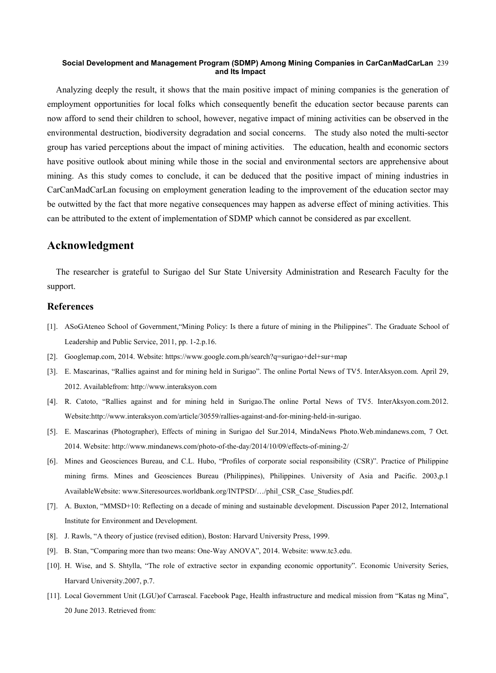#### **Social Development and Management Program (SDMP) Among Mining Companies in CarCanMadCarLan**  239 **and Its Impact**

Analyzing deeply the result, it shows that the main positive impact of mining companies is the generation of employment opportunities for local folks which consequently benefit the education sector because parents can now afford to send their children to school, however, negative impact of mining activities can be observed in the environmental destruction, biodiversity degradation and social concerns. The study also noted the multi-sector group has varied perceptions about the impact of mining activities. The education, health and economic sectors have positive outlook about mining while those in the social and environmental sectors are apprehensive about mining. As this study comes to conclude, it can be deduced that the positive impact of mining industries in CarCanMadCarLan focusing on employment generation leading to the improvement of the education sector may be outwitted by the fact that more negative consequences may happen as adverse effect of mining activities. This can be attributed to the extent of implementation of SDMP which cannot be considered as par excellent.

## **Acknowledgment**

The researcher is grateful to Surigao del Sur State University Administration and Research Faculty for the support.

#### **References**

- [1]. ASoGAteneo School of Government,"Mining Policy: Is there a future of mining in the Philippines". The Graduate School of Leadership and Public Service, 2011, pp. 1-2.p.16.
- [2]. Googlemap.com, 2014. Website: https://www.google.com.ph/search?q=surigao+del+sur+map
- [3]. E. Mascarinas, "Rallies against and for mining held in Surigao". The online Portal News of TV5. InterAksyon.com. April 29, 2012. Availablefrom: http://www.interaksyon.com
- [4]. R. Catoto, "Rallies against and for mining held in Surigao.The online Portal News of TV5. InterAksyon.com.2012. Website:http://www.interaksyon.com/article/30559/rallies-against-and-for-mining-held-in-surigao.
- [5]. E. Mascarinas (Photographer), Effects of mining in Surigao del Sur.2014, MindaNews Photo.Web.mindanews.com, 7 Oct. 2014. Website: http://www.mindanews.com/photo-of-the-day/2014/10/09/effects-of-mining-2/
- [6]. Mines and Geosciences Bureau, and C.L. Hubo, "Profiles of corporate social responsibility (CSR)". Practice of Philippine mining firms. Mines and Geosciences Bureau (Philippines), Philippines. University of Asia and Pacific. 2003,p.1 AvailableWebsite: www.Siteresources.worldbank.org/INTPSD/…/phil\_CSR\_Case\_Studies.pdf.
- [7]. A. Buxton, "MMSD+10: Reflecting on a decade of mining and sustainable development. Discussion Paper 2012, International Institute for Environment and Development.
- [8]. J. Rawls, "A theory of justice (revised edition), Boston: Harvard University Press, 1999.
- [9]. B. Stan, "Comparing more than two means: One-Way ANOVA", 2014. Website: www.tc3.edu.
- [10]. H. Wise, and S. Shtylla, "The role of extractive sector in expanding economic opportunity". Economic University Series, Harvard University.2007, p.7.
- [11]. Local Government Unit (LGU)of Carrascal. Facebook Page, Health infrastructure and medical mission from "Katas ng Mina", 20 June 2013. Retrieved from: